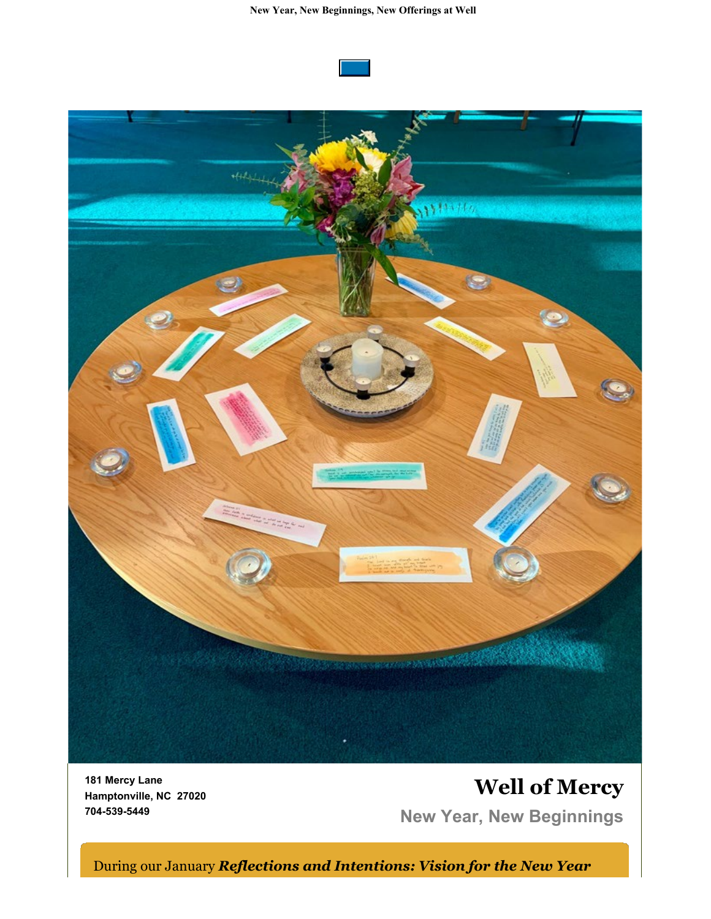

**181 Mercy Lane Hamptonville, NC 27020 704-539-5449**

# **Well of Mercy New Year, New Beginnings**

During our January *Reflections and Intentions: Vision for the New Year*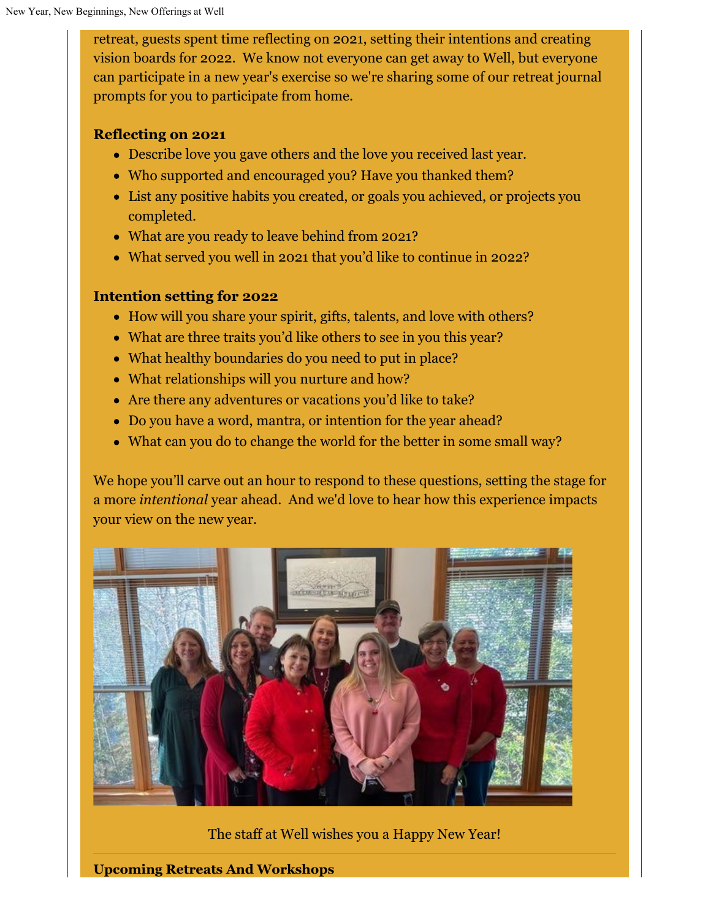retreat, guests spent time reflecting on 2021, setting their intentions and creating vision boards for 2022. We know not everyone can get away to Well, but everyone can participate in a new year's exercise so we're sharing some of our retreat journal prompts for you to participate from home.

#### **Reflecting on 2021**

- Describe love you gave others and the love you received last year.
- Who supported and encouraged you? Have you thanked them?
- List any positive habits you created, or goals you achieved, or projects you completed.
- What are you ready to leave behind from 2021?
- What served you well in 2021 that you'd like to continue in 2022?

#### **Intention setting for 2022**

- How will you share your spirit, gifts, talents, and love with others?
- What are three traits you'd like others to see in you this year?
- What healthy boundaries do you need to put in place?
- What relationships will you nurture and how?
- Are there any adventures or vacations you'd like to take?
- Do you have a word, mantra, or intention for the year ahead?
- What can you do to change the world for the better in some small way?

We hope you'll carve out an hour to respond to these questions, setting the stage for a more *intentional* year ahead. And we'd love to hear how this experience impacts your view on the new year.



The staff at Well wishes you a Happy New Year!

**Upcoming Retreats And Workshops**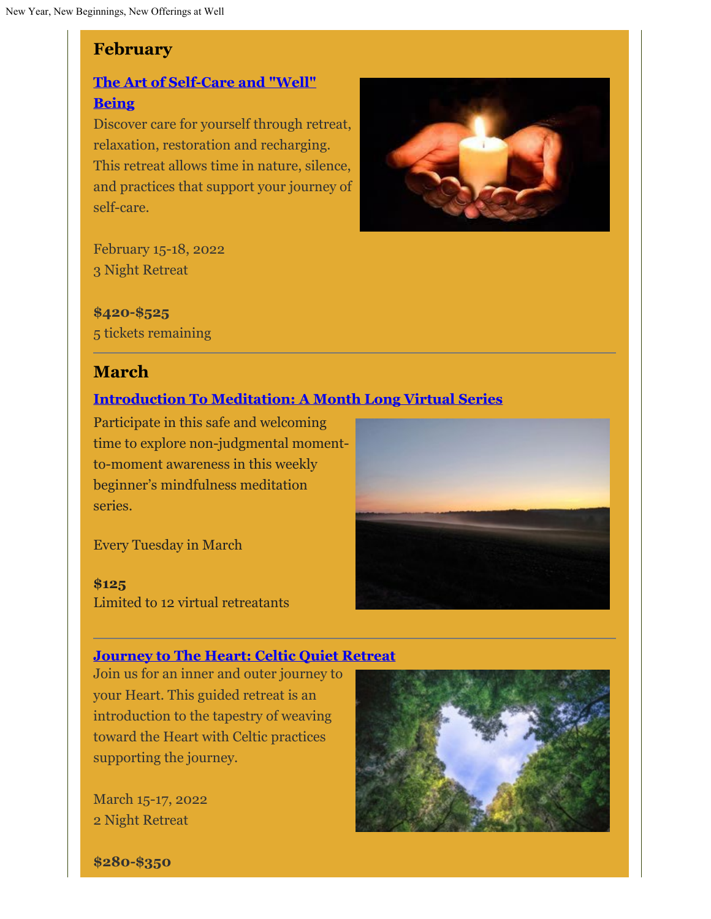## **February**

## **[The Art of Self-Care and "Well"](https://wellofmercy.networkforgood.com/events/37139-the-art-of-self-care-and-well-being) [Being](https://wellofmercy.networkforgood.com/events/37139-the-art-of-self-care-and-well-being)**

Discover care for yourself through retreat, relaxation, restoration and recharging. This retreat allows time in nature, silence, and practices that support your journey of self-care.



February 15-18, 2022 3 Night Retreat

**\$420-\$525** 5 tickets remaining

## **March**

### **[Introduction To Meditation: A Month Long Virtual Series](https://wellofmercy.networkforgood.com/events/38256-introduction-to-meditation-a-month-long-virtual-series)**

Participate in this safe and welcoming time to explore non-judgmental momentto-moment awareness in this weekly beginner's mindfulness meditation series.

Every Tuesday in March

#### **\$125**

Limited to 12 virtual retreatants

### **[Journey to The Heart: Celtic Quiet Retreat](https://wellofmercy.networkforgood.com/events/37313-journey-to-the-heart-celtic-quiet-retreat)**

Join us for an inner and outer journey to your Heart. This guided retreat is an introduction to the tapestry of weaving toward the Heart with Celtic practices supporting the journey.

March 15-17, 2022 2 Night Retreat



**\$280-\$350**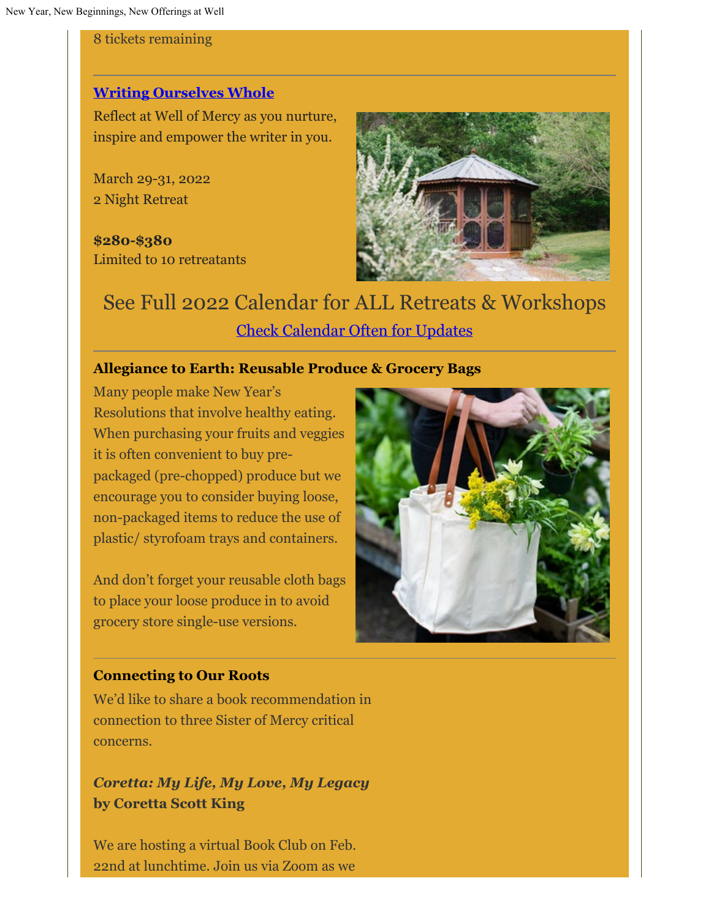8 tickets remaining

#### **[Writing Ourselves Whole](https://wellofmercy.networkforgood.com/events/38264-writing-ourselves-whole)**

Reflect at Well of Mercy as you nurture, inspire and empower the writer in you.

March 29-31, 2022 2 Night Retreat

**\$280-\$380** Limited to 10 retreatants



See Full 2022 Calendar for ALL Retreats & Workshops [Check Calendar Often for Updates](https://wellofmercy.networkforgood.com/events/25374-well-of-mercy-2022-circles-retreats-workshops)

#### **Allegiance to Earth: Reusable Produce & Grocery Bags**

Many people make New Year's Resolutions that involve healthy eating. When purchasing your fruits and veggies it is often convenient to buy prepackaged (pre-chopped) produce but we encourage you to consider buying loose, non-packaged items to reduce the use of plastic/ styrofoam trays and containers.

And don't forget your reusable cloth bags to place your loose produce in to avoid grocery store single-use versions.



#### **Connecting to Our Roots**

We'd like to share a book recommendation in connection to three Sister of Mercy critical concerns.

*Coretta: My Life, My Love, My Legacy* **by Coretta Scott King**

We are hosting a virtual Book Club on Feb. 22nd at lunchtime. Join us via Zoom as we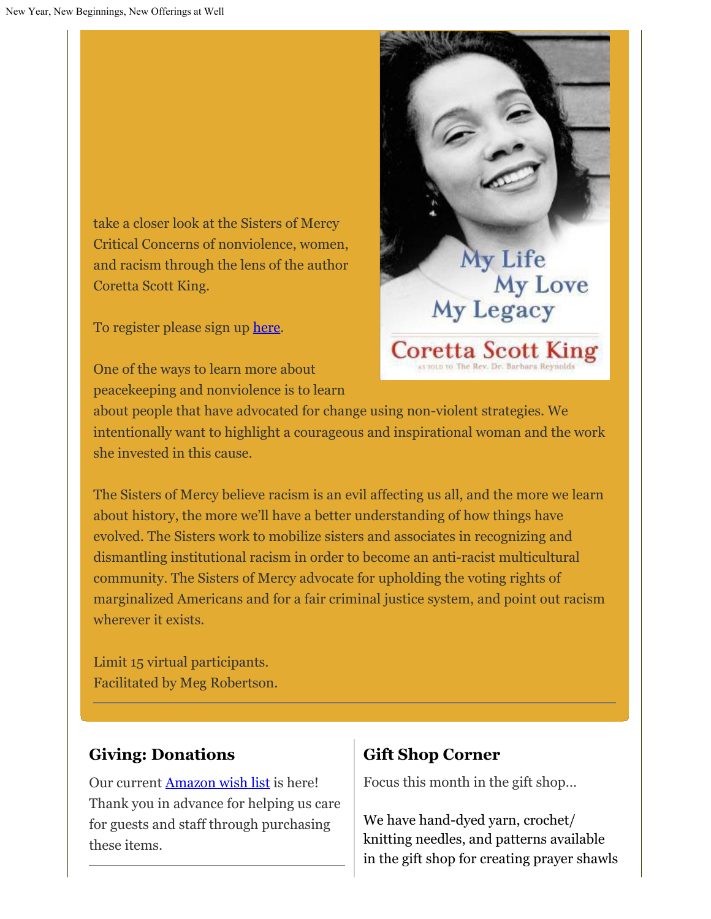take a closer look at the Sisters of Mercy Critical Concerns of nonviolence, women, and racism through the lens of the author Coretta Scott King.

To register please sign up [here](https://wellofmercy.networkforgood.com/events/38548-coretta-my-life-my-love-my-legacy-by-coretta-scott-king-book-club).

One of the ways to learn more about peacekeeping and nonviolence is to learn



about people that have advocated for change using non-violent strategies. We intentionally want to highlight a courageous and inspirational woman and the work she invested in this cause.

The Sisters of Mercy believe racism is an evil affecting us all, and the more we learn about history, the more we'll have a better understanding of how things have evolved. The Sisters work to mobilize sisters and associates in recognizing and dismantling institutional racism in order to become an anti-racist multicultural community. The Sisters of Mercy advocate for upholding the voting rights of marginalized Americans and for a fair criminal justice system, and point out racism wherever it exists.

Limit 15 virtual participants. Facilitated by Meg Robertson.

### **Giving: Donations**

Our current [Amazon wish list](https://www.amazon.com/hz/wishlist/ls/HV9BAQ9J7038?ref_=wl_share) is here! Thank you in advance for helping us care for guests and staff through purchasing these items.

## **Gift Shop Corner**

Focus this month in the gift shop…

We have hand-dyed yarn, crochet/ knitting needles, and patterns available in the gift shop for creating prayer shawls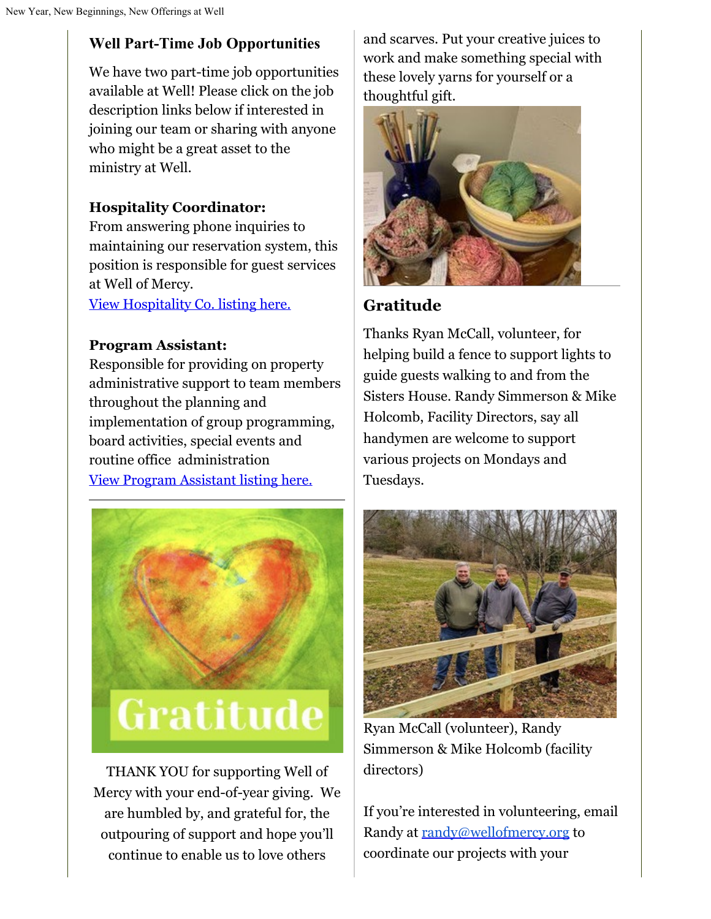## **Well Part-Time Job Opportunities**

We have two part-time job opportunities available at Well! Please click on the job description links below if interested in joining our team or sharing with anyone who might be a great asset to the ministry at Well.

## **Hospitality Coordinator:**

From answering phone inquiries to maintaining our reservation system, this position is responsible for guest services at Well of Mercy.

[View Hospitality Co. listing here.](https://docs.google.com/document/d/1I3_CrmSnToDLR6sUfg2IoGDHlc6fVboy/edit?usp=sharing&ouid=109944064661725710717&rtpof=true&sd=true)

### **Program Assistant:**

Responsible for providing on property administrative support to team members throughout the planning and implementation of group programming, board activities, special events and routine office administration [View Program Assistant listing here.](https://docs.google.com/document/d/1D7zDMRIN5QYlqswn3gNreQlc-GoyhdJLa8vOx9XQgL8/edit?usp=sharing)



THANK YOU for supporting Well of Mercy with your end-of-year giving. We are humbled by, and grateful for, the outpouring of support and hope you'll continue to enable us to love others

and scarves. Put your creative juices to work and make something special with these lovely yarns for yourself or a thoughtful gift.



## **Gratitude**

Thanks Ryan McCall, volunteer, for helping build a fence to support lights to guide guests walking to and from the Sisters House. Randy Simmerson & Mike Holcomb, Facility Directors, say all handymen are welcome to support various projects on Mondays and Tuesdays.



Ryan McCall (volunteer), Randy Simmerson & Mike Holcomb (facility directors)

If you're interested in volunteering, email Randy at [randy@wellofmercy.org](mailto:randy@wellofmercy.org) to coordinate our projects with your